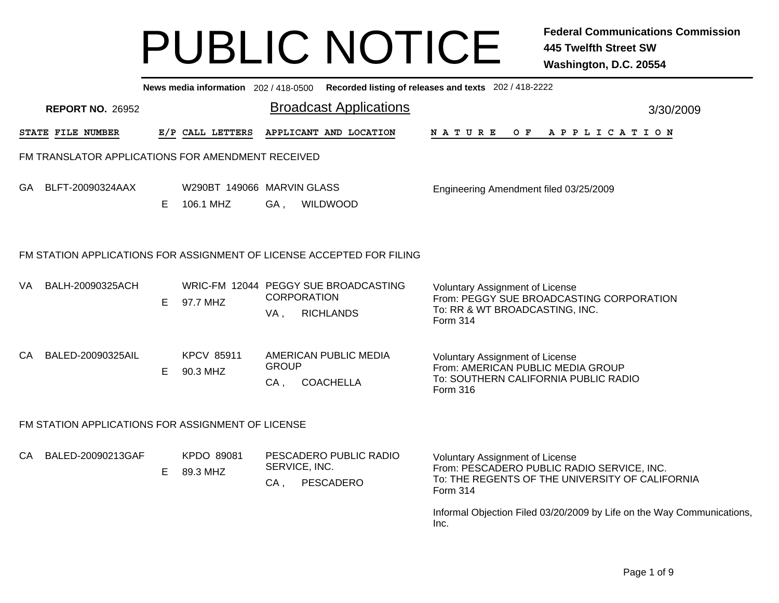|     |                         |    |                                                   | News media information 202 / 418-0500 Recorded listing of releases and texts 202 / 418-2222 |                                                                                                                                                     |           |
|-----|-------------------------|----|---------------------------------------------------|---------------------------------------------------------------------------------------------|-----------------------------------------------------------------------------------------------------------------------------------------------------|-----------|
|     | <b>REPORT NO. 26952</b> |    |                                                   | <b>Broadcast Applications</b>                                                               |                                                                                                                                                     | 3/30/2009 |
|     | STATE FILE NUMBER       |    | E/P CALL LETTERS                                  | APPLICANT AND LOCATION                                                                      | N A T U R E<br>OF APPLICATION                                                                                                                       |           |
|     |                         |    | FM TRANSLATOR APPLICATIONS FOR AMENDMENT RECEIVED |                                                                                             |                                                                                                                                                     |           |
|     | GA BLFT-20090324AAX     | E. | 106.1 MHZ                                         | W290BT 149066 MARVIN GLASS<br>GA,<br>WILDWOOD                                               | Engineering Amendment filed 03/25/2009                                                                                                              |           |
|     |                         |    |                                                   | FM STATION APPLICATIONS FOR ASSIGNMENT OF LICENSE ACCEPTED FOR FILING                       |                                                                                                                                                     |           |
| VA  | BALH-20090325ACH        | E. | 97.7 MHZ                                          | WRIC-FM 12044 PEGGY SUE BROADCASTING<br><b>CORPORATION</b><br><b>RICHLANDS</b><br>VA,       | <b>Voluntary Assignment of License</b><br>From: PEGGY SUE BROADCASTING CORPORATION<br>To: RR & WT BROADCASTING, INC.<br>Form 314                    |           |
| CA. | BALED-20090325AIL       | E. | <b>KPCV 85911</b><br>90.3 MHZ                     | AMERICAN PUBLIC MEDIA<br><b>GROUP</b><br><b>COACHELLA</b><br>$CA$ ,                         | <b>Voluntary Assignment of License</b><br>From: AMERICAN PUBLIC MEDIA GROUP<br>To: SOUTHERN CALIFORNIA PUBLIC RADIO<br>Form 316                     |           |
|     |                         |    | FM STATION APPLICATIONS FOR ASSIGNMENT OF LICENSE |                                                                                             |                                                                                                                                                     |           |
| CA  | BALED-20090213GAF       | E. | KPDO 89081<br>89.3 MHZ                            | PESCADERO PUBLIC RADIO<br>SERVICE, INC.<br>PESCADERO<br>$CA$ ,                              | <b>Voluntary Assignment of License</b><br>From: PESCADERO PUBLIC RADIO SERVICE, INC.<br>To: THE REGENTS OF THE UNIVERSITY OF CALIFORNIA<br>Form 314 |           |
|     |                         |    |                                                   |                                                                                             | Informal Objection Filed 03/20/2009 by Life on the Way Communications.<br>Inc.                                                                      |           |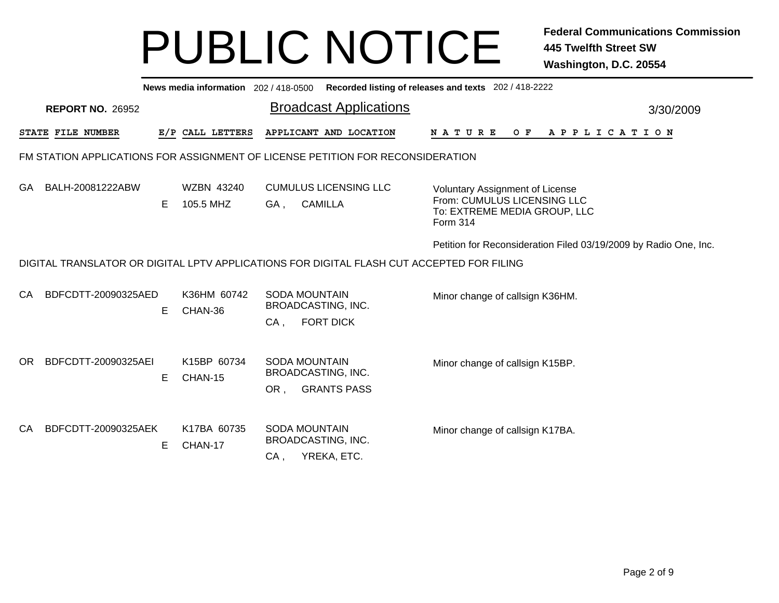|     |                         |   |                         | News media information 202 / 418-0500 Recorded listing of releases and texts 202 / 418-2222 |                                                                                                            |           |
|-----|-------------------------|---|-------------------------|---------------------------------------------------------------------------------------------|------------------------------------------------------------------------------------------------------------|-----------|
|     | <b>REPORT NO. 26952</b> |   |                         | <b>Broadcast Applications</b>                                                               |                                                                                                            | 3/30/2009 |
|     | STATE FILE NUMBER       |   | E/P CALL LETTERS        | APPLICANT AND LOCATION                                                                      | OF APPLICATION<br><b>NATURE</b>                                                                            |           |
|     |                         |   |                         | FM STATION APPLICATIONS FOR ASSIGNMENT OF LICENSE PETITION FOR RECONSIDERATION              |                                                                                                            |           |
| GA  | BALH-20081222ABW        | E | WZBN 43240<br>105.5 MHZ | <b>CUMULUS LICENSING LLC</b><br><b>CAMILLA</b><br>GA,                                       | Voluntary Assignment of License<br>From: CUMULUS LICENSING LLC<br>To: EXTREME MEDIA GROUP, LLC<br>Form 314 |           |
|     |                         |   |                         |                                                                                             | Petition for Reconsideration Filed 03/19/2009 by Radio One, Inc.                                           |           |
|     |                         |   |                         | DIGITAL TRANSLATOR OR DIGITAL LPTV APPLICATIONS FOR DIGITAL FLASH CUT ACCEPTED FOR FILING   |                                                                                                            |           |
| CA  | BDFCDTT-20090325AED     |   | K36HM 60742             | <b>SODA MOUNTAIN</b>                                                                        | Minor change of callsign K36HM.                                                                            |           |
|     |                         | Е | CHAN-36                 | BROADCASTING, INC.<br><b>FORT DICK</b><br>CA,                                               |                                                                                                            |           |
| OR. | BDFCDTT-20090325AEI     | E | K15BP 60734<br>CHAN-15  | <b>SODA MOUNTAIN</b><br>BROADCASTING, INC.<br><b>GRANTS PASS</b><br>OR,                     | Minor change of callsign K15BP.                                                                            |           |
| CA  | BDFCDTT-20090325AEK     | Е | K17BA 60735<br>CHAN-17  | <b>SODA MOUNTAIN</b><br>BROADCASTING, INC.<br>YREKA, ETC.<br>CA,                            | Minor change of callsign K17BA.                                                                            |           |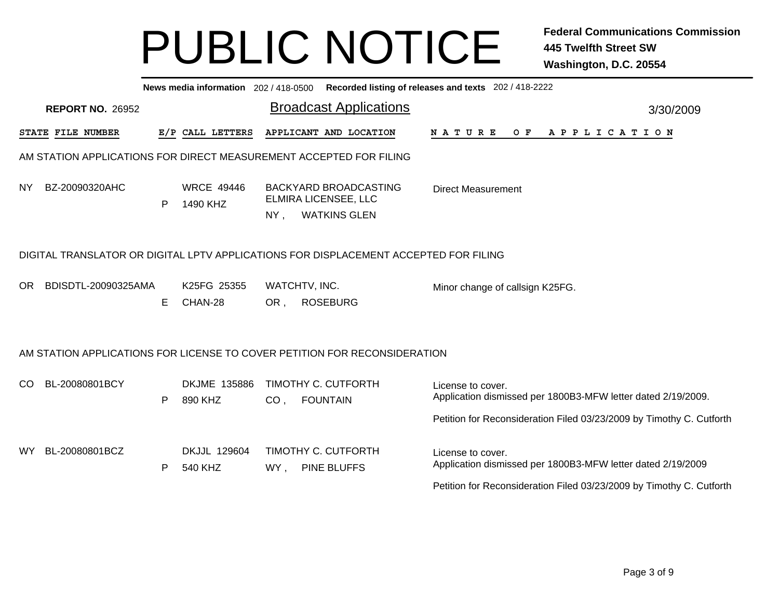|           |                         |    |                               |                      | News media information 202/418-0500 Recorded listing of releases and texts 202/418-2222 |                                 |  |  |  |  |                |  |                                                                                                                                      |  |
|-----------|-------------------------|----|-------------------------------|----------------------|-----------------------------------------------------------------------------------------|---------------------------------|--|--|--|--|----------------|--|--------------------------------------------------------------------------------------------------------------------------------------|--|
|           | <b>REPORT NO. 26952</b> |    |                               |                      | <b>Broadcast Applications</b>                                                           |                                 |  |  |  |  |                |  | 3/30/2009                                                                                                                            |  |
|           | STATE FILE NUMBER       |    | E/P CALL LETTERS              |                      | APPLICANT AND LOCATION                                                                  | <b>NATURE</b>                   |  |  |  |  | OF APPLICATION |  |                                                                                                                                      |  |
|           |                         |    |                               |                      | AM STATION APPLICATIONS FOR DIRECT MEASUREMENT ACCEPTED FOR FILING                      |                                 |  |  |  |  |                |  |                                                                                                                                      |  |
| <b>NY</b> | BZ-20090320AHC          | P  | <b>WRCE 49446</b><br>1490 KHZ | NY,                  | <b>BACKYARD BROADCASTING</b><br>ELMIRA LICENSEE, LLC<br><b>WATKINS GLEN</b>             | <b>Direct Measurement</b>       |  |  |  |  |                |  |                                                                                                                                      |  |
|           |                         |    |                               |                      | DIGITAL TRANSLATOR OR DIGITAL LPTV APPLICATIONS FOR DISPLACEMENT ACCEPTED FOR FILING    |                                 |  |  |  |  |                |  |                                                                                                                                      |  |
| OR.       | BDISDTL-20090325AMA     | E. | K25FG 25355<br>CHAN-28        | WATCHTV, INC.<br>OR, | <b>ROSEBURG</b>                                                                         | Minor change of callsign K25FG. |  |  |  |  |                |  |                                                                                                                                      |  |
|           |                         |    |                               |                      | AM STATION APPLICATIONS FOR LICENSE TO COVER PETITION FOR RECONSIDERATION               |                                 |  |  |  |  |                |  |                                                                                                                                      |  |
| CO.       | BL-20080801BCY          | P. | DKJME 135886<br>890 KHZ       | CO, FOUNTAIN         | TIMOTHY C. CUTFORTH                                                                     | License to cover.               |  |  |  |  |                |  | Application dismissed per 1800B3-MFW letter dated 2/19/2009.<br>Petition for Reconsideration Filed 03/23/2009 by Timothy C. Cutforth |  |
| WY.       | BL-20080801BCZ          | P. | DKJJL 129604<br>540 KHZ       | WY,                  | TIMOTHY C. CUTFORTH<br><b>PINE BLUFFS</b>                                               | License to cover.               |  |  |  |  |                |  | Application dismissed per 1800B3-MFW letter dated 2/19/2009<br>Petition for Reconsideration Filed 03/23/2009 by Timothy C. Cutforth  |  |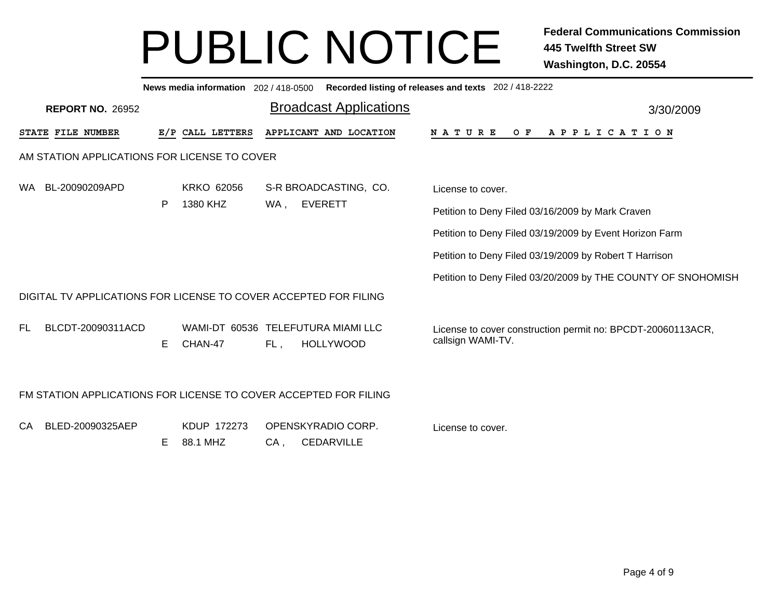|     |                                                                  |    | News media information 202 / 418-0500 |                       |                                                        | Recorded listing of releases and texts 202 / 418-2222                            |  |  |  |  |  |
|-----|------------------------------------------------------------------|----|---------------------------------------|-----------------------|--------------------------------------------------------|----------------------------------------------------------------------------------|--|--|--|--|--|
|     | <b>REPORT NO. 26952</b>                                          |    |                                       |                       | <b>Broadcast Applications</b>                          | 3/30/2009                                                                        |  |  |  |  |  |
|     | STATE FILE NUMBER                                                |    | E/P CALL LETTERS                      |                       | APPLICANT AND LOCATION                                 | N A T U R E<br>O F<br>A P P L I C A T I O N                                      |  |  |  |  |  |
|     | AM STATION APPLICATIONS FOR LICENSE TO COVER                     |    |                                       |                       |                                                        |                                                                                  |  |  |  |  |  |
| WA. | BL-20090209APD                                                   |    | <b>KRKO 62056</b><br>1380 KHZ         | S-R BROADCASTING, CO. |                                                        | License to cover.                                                                |  |  |  |  |  |
|     |                                                                  | P  |                                       | <b>EVERETT</b><br>WA. |                                                        | Petition to Deny Filed 03/16/2009 by Mark Craven                                 |  |  |  |  |  |
|     |                                                                  |    |                                       |                       |                                                        | Petition to Deny Filed 03/19/2009 by Event Horizon Farm                          |  |  |  |  |  |
|     |                                                                  |    |                                       |                       |                                                        | Petition to Deny Filed 03/19/2009 by Robert T Harrison                           |  |  |  |  |  |
|     |                                                                  |    |                                       |                       |                                                        | Petition to Deny Filed 03/20/2009 by THE COUNTY OF SNOHOMISH                     |  |  |  |  |  |
|     | DIGITAL TV APPLICATIONS FOR LICENSE TO COVER ACCEPTED FOR FILING |    |                                       |                       |                                                        |                                                                                  |  |  |  |  |  |
| FL. | BLCDT-20090311ACD                                                | E. | CHAN-47                               | FL,                   | WAMI-DT 60536 TELEFUTURA MIAMI LLC<br><b>HOLLYWOOD</b> | License to cover construction permit no: BPCDT-20060113ACR,<br>callsign WAMI-TV. |  |  |  |  |  |
|     | FM STATION APPLICATIONS FOR LICENSE TO COVER ACCEPTED FOR FILING |    |                                       |                       |                                                        |                                                                                  |  |  |  |  |  |
| CA  | BLED-20090325AEP                                                 | Е  | KDUP 172273<br>88.1 MHZ               | CA,                   | OPENSKYRADIO CORP.<br><b>CEDARVILLE</b>                | License to cover.                                                                |  |  |  |  |  |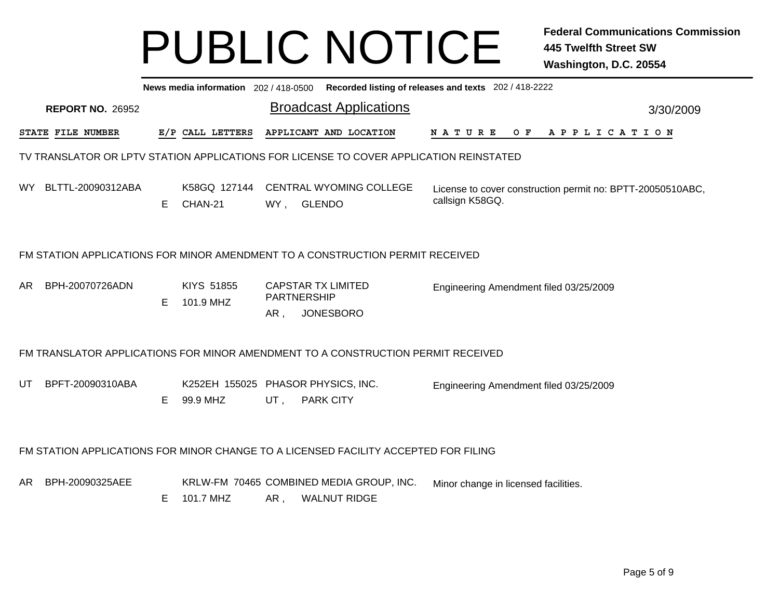|     |                                                                               |    |                         |     | News media information 202 / 418-0500 Recorded listing of releases and texts 202 / 418-2222 |                                                                               |  |  |  |     |  |  |  |  |                       |  |
|-----|-------------------------------------------------------------------------------|----|-------------------------|-----|---------------------------------------------------------------------------------------------|-------------------------------------------------------------------------------|--|--|--|-----|--|--|--|--|-----------------------|--|
|     | <b>REPORT NO. 26952</b>                                                       |    |                         |     | <b>Broadcast Applications</b>                                                               | 3/30/2009                                                                     |  |  |  |     |  |  |  |  |                       |  |
|     | STATE FILE NUMBER                                                             |    | E/P CALL LETTERS        |     | APPLICANT AND LOCATION                                                                      | N A T U R E                                                                   |  |  |  | O F |  |  |  |  | A P P L I C A T I O N |  |
|     |                                                                               |    |                         |     | TV TRANSLATOR OR LPTV STATION APPLICATIONS FOR LICENSE TO COVER APPLICATION REINSTATED      |                                                                               |  |  |  |     |  |  |  |  |                       |  |
|     | WY BLTTL-20090312ABA                                                          | E. | CHAN-21                 |     | K58GQ 127144 CENTRAL WYOMING COLLEGE<br>WY, GLENDO                                          | License to cover construction permit no: BPTT-20050510ABC,<br>callsign K58GQ. |  |  |  |     |  |  |  |  |                       |  |
|     | FM STATION APPLICATIONS FOR MINOR AMENDMENT TO A CONSTRUCTION PERMIT RECEIVED |    |                         |     |                                                                                             |                                                                               |  |  |  |     |  |  |  |  |                       |  |
| AR. | BPH-20070726ADN                                                               | E  | KIYS 51855<br>101.9 MHZ | AR, | <b>CAPSTAR TX LIMITED</b><br>PARTNERSHIP<br><b>JONESBORO</b>                                | Engineering Amendment filed 03/25/2009                                        |  |  |  |     |  |  |  |  |                       |  |
|     |                                                                               |    |                         |     | FM TRANSLATOR APPLICATIONS FOR MINOR AMENDMENT TO A CONSTRUCTION PERMIT RECEIVED            |                                                                               |  |  |  |     |  |  |  |  |                       |  |
| UT  | BPFT-20090310ABA                                                              | Е  | 99.9 MHZ                | UT, | K252EH 155025 PHASOR PHYSICS, INC.<br><b>PARK CITY</b>                                      | Engineering Amendment filed 03/25/2009                                        |  |  |  |     |  |  |  |  |                       |  |
|     |                                                                               |    |                         |     | FM STATION APPLICATIONS FOR MINOR CHANGE TO A LICENSED FACILITY ACCEPTED FOR FILING         |                                                                               |  |  |  |     |  |  |  |  |                       |  |
| AR. | BPH-20090325AEE                                                               | Е  | 101.7 MHZ               | AR, | KRLW-FM 70465 COMBINED MEDIA GROUP, INC.<br><b>WALNUT RIDGE</b>                             | Minor change in licensed facilities.                                          |  |  |  |     |  |  |  |  |                       |  |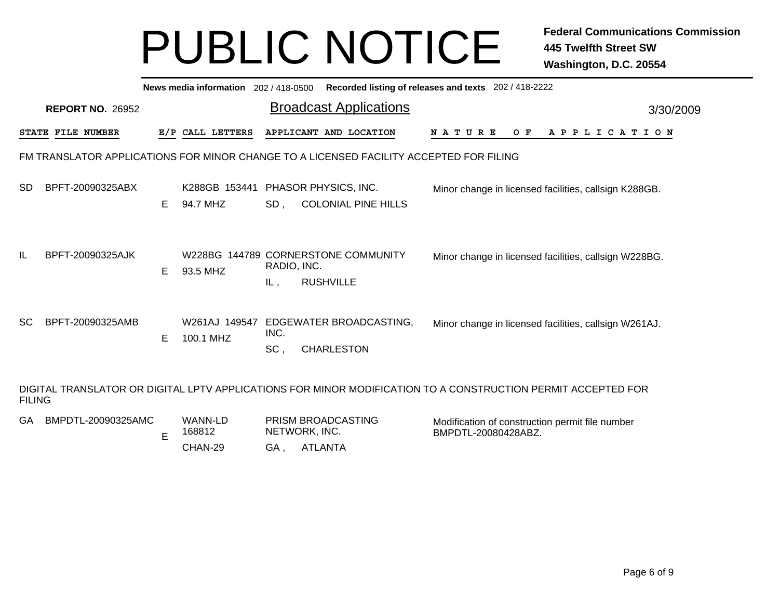|               |                         |    | News media information 202 / 418-0500 |                         | Recorded listing of releases and texts 202 / 418-2222                                                        |                     |     |                                                       |           |
|---------------|-------------------------|----|---------------------------------------|-------------------------|--------------------------------------------------------------------------------------------------------------|---------------------|-----|-------------------------------------------------------|-----------|
|               | <b>REPORT NO. 26952</b> |    |                                       |                         | <b>Broadcast Applications</b>                                                                                |                     |     |                                                       | 3/30/2009 |
|               | STATE FILE NUMBER       |    | E/P CALL LETTERS                      |                         | APPLICANT AND LOCATION                                                                                       | NATURE              | O F | APPLICATION                                           |           |
|               |                         |    |                                       |                         | FM TRANSLATOR APPLICATIONS FOR MINOR CHANGE TO A LICENSED FACILITY ACCEPTED FOR FILING                       |                     |     |                                                       |           |
| <b>SD</b>     | BPFT-20090325ABX        | Е  | 94.7 MHZ                              | SD,                     | K288GB 153441 PHASOR PHYSICS, INC.<br><b>COLONIAL PINE HILLS</b>                                             |                     |     | Minor change in licensed facilities, callsign K288GB. |           |
| IL            | BPFT-20090325AJK        | E. | 93.5 MHZ                              | RADIO, INC.<br>IL,      | W228BG 144789 CORNERSTONE COMMUNITY<br><b>RUSHVILLE</b>                                                      |                     |     | Minor change in licensed facilities, callsign W228BG. |           |
| <b>SC</b>     | BPFT-20090325AMB        | E. | 100.1 MHZ                             | INC.<br>SC <sub>1</sub> | W261AJ 149547 EDGEWATER BROADCASTING,<br><b>CHARLESTON</b>                                                   |                     |     | Minor change in licensed facilities, callsign W261AJ. |           |
| <b>FILING</b> |                         |    |                                       |                         | DIGITAL TRANSLATOR OR DIGITAL LPTV APPLICATIONS FOR MINOR MODIFICATION TO A CONSTRUCTION PERMIT ACCEPTED FOR |                     |     |                                                       |           |
| GA.           | BMPDTL-20090325AMC      | п. | <b>WANN-LD</b><br>168812              |                         | PRISM BROADCASTING<br>NETWORK, INC.                                                                          | BMPDTL-20080428ABZ. |     | Modification of construction permit file number       |           |

BMPDTL-20080428ABZ.

GA , ATLANTA

E

CHAN-29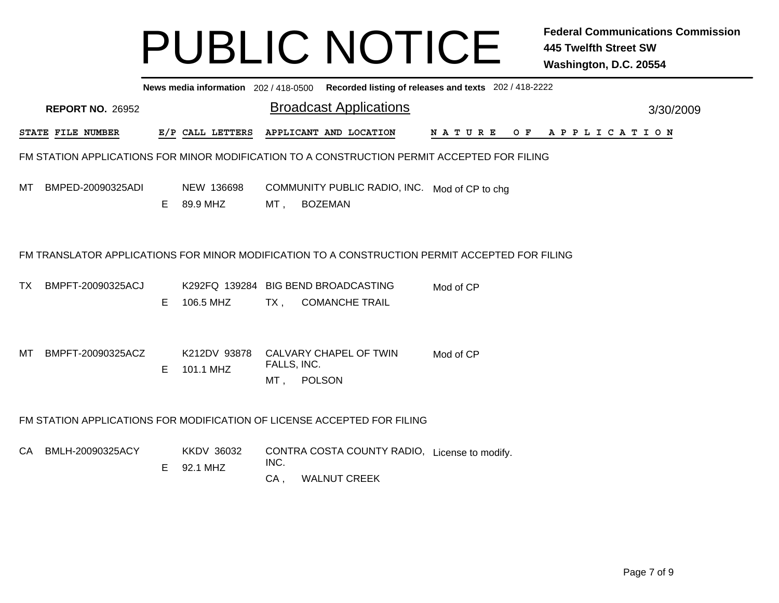|    |                          |    |                               |                | News media information 202 / 418-0500 Recorded listing of releases and texts 202 / 418-2222    |           |                       |           |
|----|--------------------------|----|-------------------------------|----------------|------------------------------------------------------------------------------------------------|-----------|-----------------------|-----------|
|    | <b>REPORT NO. 26952</b>  |    |                               |                | <b>Broadcast Applications</b>                                                                  |           |                       | 3/30/2009 |
|    | <b>STATE FILE NUMBER</b> |    | E/P CALL LETTERS              |                | APPLICANT AND LOCATION                                                                         |           | NATURE OF APPLICATION |           |
|    |                          |    |                               |                | FM STATION APPLICATIONS FOR MINOR MODIFICATION TO A CONSTRUCTION PERMIT ACCEPTED FOR FILING    |           |                       |           |
|    | MT BMPED-20090325ADI     | E. | NEW 136698<br>89.9 MHZ        | MT,            | COMMUNITY PUBLIC RADIO, INC. Mod of CP to chg<br>BOZEMAN                                       |           |                       |           |
|    |                          |    |                               |                | FM TRANSLATOR APPLICATIONS FOR MINOR MODIFICATION TO A CONSTRUCTION PERMIT ACCEPTED FOR FILING |           |                       |           |
|    | TX BMPFT-20090325ACJ     | E  | 106.5 MHZ                     | TX ,           | K292FQ 139284 BIG BEND BROADCASTING<br><b>COMANCHE TRAIL</b>                                   | Mod of CP |                       |           |
| МT | BMPFT-20090325ACZ        | E. | K212DV 93878<br>101.1 MHZ     | FALLS, INC.    | CALVARY CHAPEL OF TWIN<br>MT, POLSON                                                           | Mod of CP |                       |           |
|    |                          |    |                               |                | FM STATION APPLICATIONS FOR MODIFICATION OF LICENSE ACCEPTED FOR FILING                        |           |                       |           |
|    | CA BMLH-20090325ACY      | E  | <b>KKDV 36032</b><br>92.1 MHZ | INC.<br>$CA$ , | CONTRA COSTA COUNTY RADIO, License to modify.<br><b>WALNUT CREEK</b>                           |           |                       |           |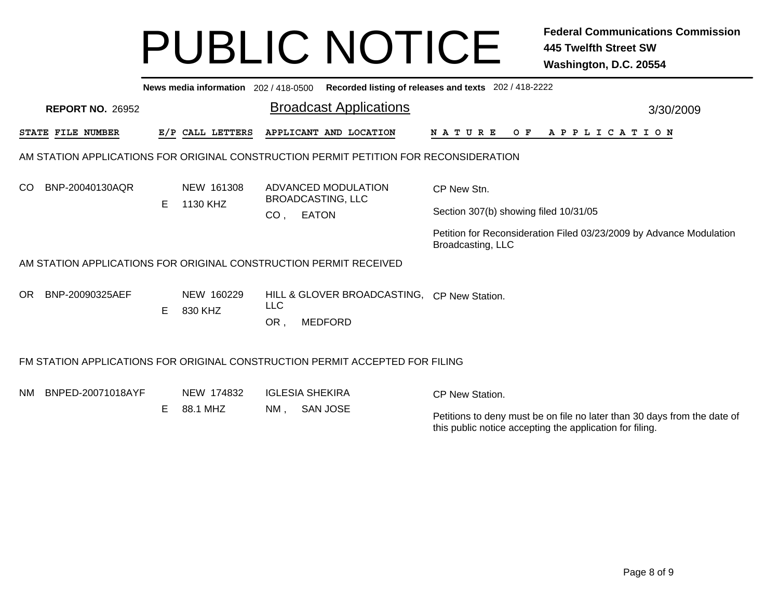|     |                                                                   |   | News media information 202/418-0500 |                   |                                                                                       | Recorded listing of releases and texts 202 / 418-2222                                    |           |
|-----|-------------------------------------------------------------------|---|-------------------------------------|-------------------|---------------------------------------------------------------------------------------|------------------------------------------------------------------------------------------|-----------|
|     | <b>REPORT NO. 26952</b>                                           |   |                                     |                   | <b>Broadcast Applications</b>                                                         |                                                                                          | 3/30/2009 |
|     | <b>STATE FILE NUMBER</b>                                          |   | E/P CALL LETTERS                    |                   | APPLICANT AND LOCATION                                                                | OF APPLICATION<br>N A T U R E                                                            |           |
|     |                                                                   |   |                                     |                   | AM STATION APPLICATIONS FOR ORIGINAL CONSTRUCTION PERMIT PETITION FOR RECONSIDERATION |                                                                                          |           |
| CO  | BNP-20040130AQR                                                   |   | NEW 161308                          |                   | ADVANCED MODULATION<br><b>BROADCASTING, LLC</b>                                       | CP New Stn.                                                                              |           |
|     |                                                                   | Е | 1130 KHZ                            | CO <sub>1</sub>   | <b>EATON</b>                                                                          | Section 307(b) showing filed 10/31/05                                                    |           |
|     |                                                                   |   |                                     |                   |                                                                                       | Petition for Reconsideration Filed 03/23/2009 by Advance Modulation<br>Broadcasting, LLC |           |
|     | AM STATION APPLICATIONS FOR ORIGINAL CONSTRUCTION PERMIT RECEIVED |   |                                     |                   |                                                                                       |                                                                                          |           |
| OR  | BNP-20090325AEF                                                   | E | NEW 160229<br>830 KHZ               | <b>LLC</b><br>OR. | HILL & GLOVER BROADCASTING, CP New Station.<br><b>MEDFORD</b>                         |                                                                                          |           |
|     |                                                                   |   |                                     |                   | FM STATION APPLICATIONS FOR ORIGINAL CONSTRUCTION PERMIT ACCEPTED FOR FILING          |                                                                                          |           |
| NM. | BNPED-20071018AYF                                                 |   | NEW 174832                          |                   | <b>IGLESIA SHEKIRA</b>                                                                | <b>CP New Station.</b>                                                                   |           |
|     |                                                                   | E | 88.1 MHZ                            | NM.               | <b>SAN JOSE</b>                                                                       | Petitions to deny must be on file no later than 30 days from the date of                 |           |

this public notice accepting the application for filing.